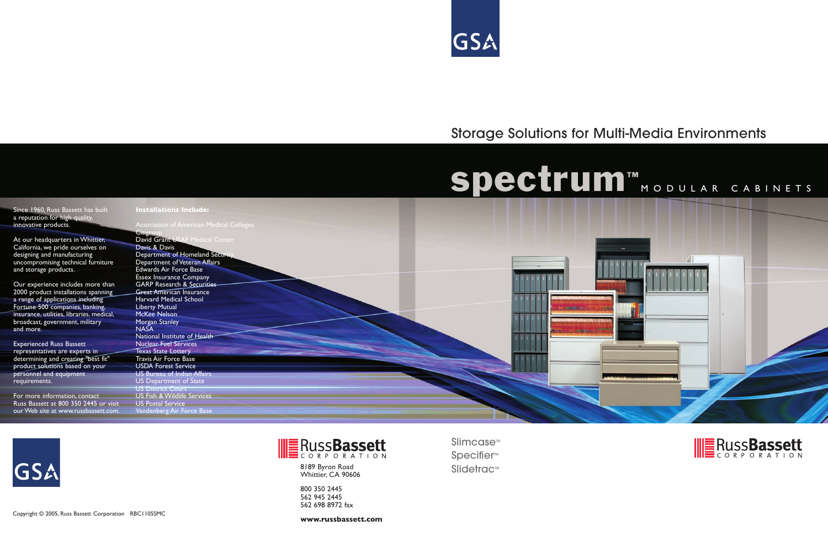## Storage Solutions for Multi-Media Environments

8189 Byron Road Slidetrac<sup>™</sup> Whittier, CA 90606

800 350 2445 562 945 2445 562 698 8972 fax

Slimcase<sup>™</sup> Specifier<sup>™</sup>

**www.russbassett.com**





Since 1960, Russ Bassett has built a reputation for high quality innovative products.

At our headquarters in Whittier, California, we pride ourselves on designing and manufacturing uncompromising technical furniture and storage products.

Our experience includes more than 2000 product installations spanning a range of applications including Fortune 500 companies, banking, insurance, utilities, libraries, medical, broadcast, government, military and more.

**Citigroup** David Grant USAF Medical Center Davis & Davis Department of Homeland Secur Department of Veteran Affairs Edwards Air Force Base Essex Insurance Company GARP Research & Securities **Great American Insurance** Harvard Medical School Liberty Mutual McKee Nelson Morgan Stanley NASA National Institute of Health Nuclear Fuel Services Texas State Lottery Travis Air Force Base USDA Forest Service US Bureau of Indian Affairs US Department of State US District Court US Fish & Wildlife Services US Postal Service Vandenberg Air Force Base





Experienced Russ Bassett representatives are experts in determining and creating "best fit" product solutions based on your personnel and equipment requirements.

For more information, contact Russ Bassett at 800 350 2445 or visit our Web site at www.russbassett.com.

GSA

**Installations Include:**